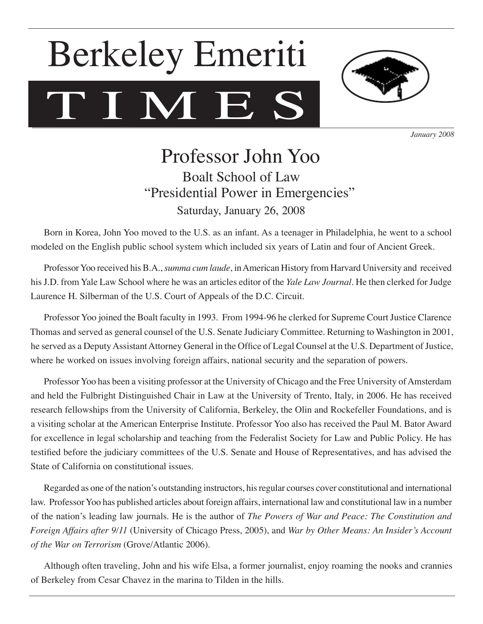# T I M E S Berkeley Emeriti



*January 2008*

# Professor John Yoo Boalt School of Law "Presidential Power in Emergencies" Saturday, January 26, 2008

Born in Korea, John Yoo moved to the U.S. as an infant. As a teenager in Philadelphia, he went to a school modeled on the English public school system which included six years of Latin and four of Ancient Greek.

Professor Yoo received his B.A., *summa cum laude*, in American History from Harvard University and received his J.D. from Yale Law School where he was an articles editor of the *Yale Law Journal*. He then clerked for Judge Laurence H. Silberman of the U.S. Court of Appeals of the D.C. Circuit.

Professor Yoo joined the Boalt faculty in 1993. From 1994-96 he clerked for Supreme Court Justice Clarence Thomas and served as general counsel of the U.S. Senate Judiciary Committee. Returning to Washington in 2001, he served as a Deputy Assistant Attorney General in the Office of Legal Counsel at the U.S. Department of Justice, where he worked on issues involving foreign affairs, national security and the separation of powers.

Professor Yoo has been a visiting professor at the University of Chicago and the Free University of Amsterdam and held the Fulbright Distinguished Chair in Law at the University of Trento, Italy, in 2006. He has received research fellowships from the University of California, Berkeley, the Olin and Rockefeller Foundations, and is a visiting scholar at the American Enterprise Institute. Professor Yoo also has received the Paul M. Bator Award for excellence in legal scholarship and teaching from the Federalist Society for Law and Public Policy. He has testified before the judiciary committees of the U.S. Senate and House of Representatives, and has advised the State of California on constitutional issues.

Regarded as one of the nation's outstanding instructors, his regular courses cover constitutional and international law. Professor Yoo has published articles about foreign affairs, international law and constitutional law in a number of the nation's leading law journals. He is the author of *The Powers of War and Peace: The Constitution and Foreign Affairs after 9/11* (University of Chicago Press, 2005), and *War by Other Means: An Insider's Account of the War on Terrorism* (Grove/Atlantic 2006).

Although often traveling, John and his wife Elsa, a former journalist, enjoy roaming the nooks and crannies of Berkeley from Cesar Chavez in the marina to Tilden in the hills.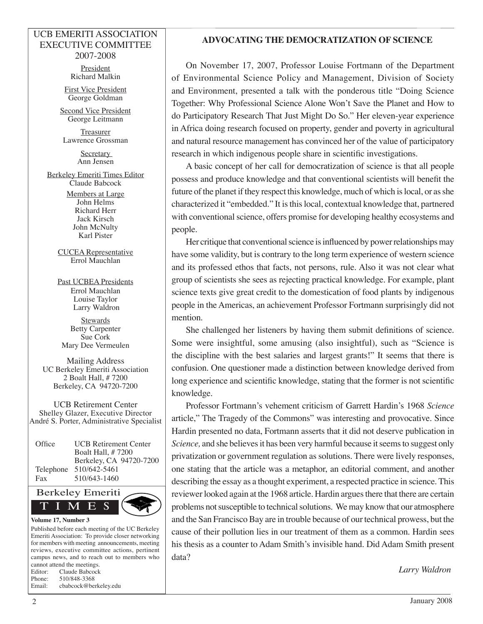#### UCB EMERITI ASSOCIATION EXECUTIVE COMMITTEE 2007-2008

President Richard Malkin

First Vice President George Goldman

Second Vice President George Leitmann

**Treasurer** Lawrence Grossman

> **Secretary** Ann Jensen

Berkeley Emeriti Times Editor Claude Babcock

> Members at Large John Helms Richard Herr Jack Kirsch John McNulty Karl Pister

CUCEA Representative Errol Mauchlan

Past UCBEA Presidents Errol Mauchlan Louise Taylor Larry Waldron

**Stewards** Betty Carpenter Sue Cork Mary Dee Vermeulen

Mailing Address UC Berkeley Emeriti Association 2 Boalt Hall, # 7200 Berkeley, CA 94720-7200

UCB Retirement Center Shelley Glazer, Executive Director André S. Porter, Administrative Specialist

Office UCB Retirement Center Boalt Hall, # 7200 Berkeley, CA 94720-7200 Telephone 510/642-5461 Fax 510/643-1460



Published before each meeting of the UC Berkeley Emeriti Association: To provide closer networking for members with meeting announcements, meeting reviews, executive committee actions, pertinent campus news, and to reach out to members who cannot attend the meetings. Editor: Claude Babcock Phone: 510/848-3368 Email: cbabcock@berkeley.edu

### **ADVOCATING THE DEMOCRATIZATION OF SCIENCE**

On November 17, 2007, Professor Louise Fortmann of the Department of Environmental Science Policy and Management, Division of Society and Environment, presented a talk with the ponderous title "Doing Science Together: Why Professional Science Alone Won't Save the Planet and How to do Participatory Research That Just Might Do So." Her eleven-year experience in Africa doing research focused on property, gender and poverty in agricultural and natural resource management has convinced her of the value of participatory research in which indigenous people share in scientific investigations.

A basic concept of her call for democratization of science is that all people possess and produce knowledge and that conventional scientists will benefit the future of the planet if they respect this knowledge, much of which is local, or as she characterized it "embedded." It is this local, contextual knowledge that, partnered with conventional science, offers promise for developing healthy ecosystems and people.

Her critique that conventional science is influenced by power relationships may have some validity, but is contrary to the long term experience of western science and its professed ethos that facts, not persons, rule. Also it was not clear what group of scientists she sees as rejecting practical knowledge. For example, plant science texts give great credit to the domestication of food plants by indigenous people in the Americas, an achievement Professor Fortmann surprisingly did not mention.

She challenged her listeners by having them submit definitions of science. Some were insightful, some amusing (also insightful), such as "Science is the discipline with the best salaries and largest grants!" It seems that there is confusion. One questioner made a distinction between knowledge derived from long experience and scientific knowledge, stating that the former is not scientific knowledge.

Professor Fortmann's vehement criticism of Garrett Hardin's 1968 *Science*  article," The Tragedy of the Commons" was interesting and provocative. Since Hardin presented no data, Fortmann asserts that it did not deserve publication in *Science,* and she believes it has been very harmful because it seems to suggest only privatization or government regulation as solutions. There were lively responses, one stating that the article was a metaphor, an editorial comment, and another describing the essay as a thought experiment, a respected practice in science. This reviewer looked again at the 1968 article. Hardin argues there that there are certain problems not susceptible to technical solutions. We may know that our atmosphere and the San Francisco Bay are in trouble because of our technical prowess, but the cause of their pollution lies in our treatment of them as a common. Hardin sees his thesis as a counter to Adam Smith's invisible hand. Did Adam Smith present data?

*Larry Waldron*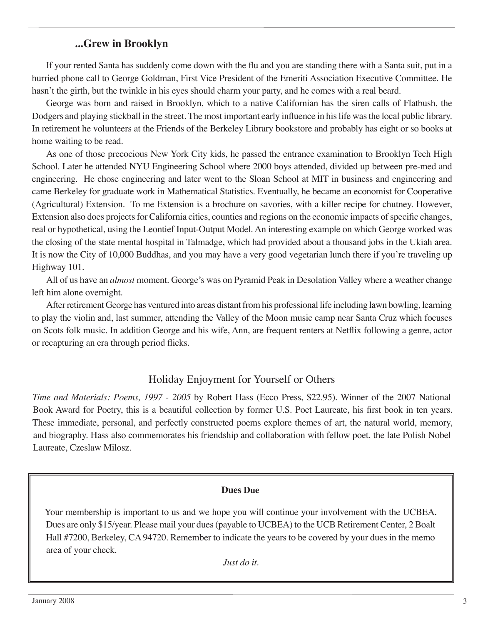# **...Grew in Brooklyn**

If your rented Santa has suddenly come down with the flu and you are standing there with a Santa suit, put in a hurried phone call to George Goldman, First Vice President of the Emeriti Association Executive Committee. He hasn't the girth, but the twinkle in his eyes should charm your party, and he comes with a real beard.

George was born and raised in Brooklyn, which to a native Californian has the siren calls of Flatbush, the Dodgers and playing stickball in the street. The most important early influence in his life was the local public library. In retirement he volunteers at the Friends of the Berkeley Library bookstore and probably has eight or so books at home waiting to be read.

As one of those precocious New York City kids, he passed the entrance examination to Brooklyn Tech High School. Later he attended NYU Engineering School where 2000 boys attended, divided up between pre-med and engineering. He chose engineering and later went to the Sloan School at MIT in business and engineering and came Berkeley for graduate work in Mathematical Statistics. Eventually, he became an economist for Cooperative (Agricultural) Extension. To me Extension is a brochure on savories, with a killer recipe for chutney. However, Extension also does projects for California cities, counties and regions on the economic impacts of specific changes, real or hypothetical, using the Leontief Input-Output Model. An interesting example on which George worked was the closing of the state mental hospital in Talmadge, which had provided about a thousand jobs in the Ukiah area. It is now the City of 10,000 Buddhas, and you may have a very good vegetarian lunch there if you're traveling up Highway 101.

All of us have an *almost* moment. George's was on Pyramid Peak in Desolation Valley where a weather change left him alone overnight.

After retirement George has ventured into areas distant from his professional life including lawn bowling, learning to play the violin and, last summer, attending the Valley of the Moon music camp near Santa Cruz which focuses on Scots folk music. In addition George and his wife, Ann, are frequent renters at Netflix following a genre, actor or recapturing an era through period flicks.

# Holiday Enjoyment for Yourself or Others

*Time and Materials: Poems, 1997 - 2005* by Robert Hass (Ecco Press, \$22.95). Winner of the 2007 National Book Award for Poetry, this is a beautiful collection by former U.S. Poet Laureate, his first book in ten years. These immediate, personal, and perfectly constructed poems explore themes of art, the natural world, memory, and biography. Hass also commemorates his friendship and collaboration with fellow poet, the late Polish Nobel Laureate, Czeslaw Milosz.

### **Dues Due**

Your membership is important to us and we hope you will continue your involvement with the UCBEA. Dues are only \$15/year. Please mail your dues (payable to UCBEA) to the UCB Retirement Center, 2 Boalt Hall #7200, Berkeley, CA 94720. Remember to indicate the years to be covered by your dues in the memo area of your check.

*Just do it.*